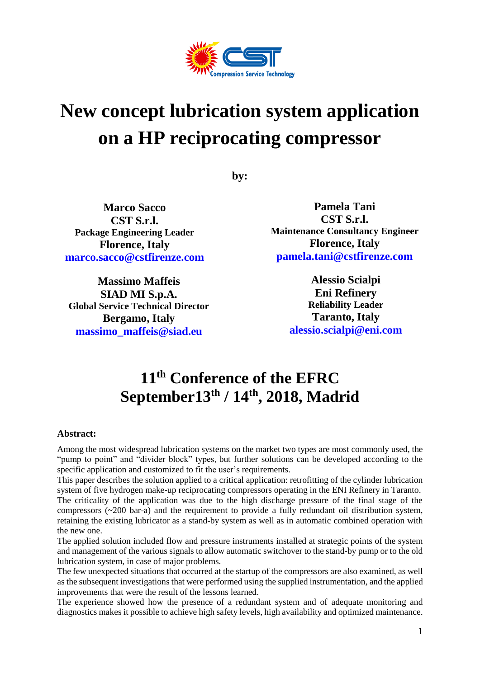

# **New concept lubrication system application on a HP reciprocating compressor**

**by:**

**Marco Sacco CST S.r.l. Package Engineering Leader Florence, Italy [marco.sacco@cstfirenze.com](mailto:marco.sacco@cstfirenze.com)**

**Massimo Maffeis SIAD MI S.p.A. Global Service Technical Director Bergamo, Italy [massimo\\_maffeis@siad.eu](mailto:massimo_maffeis@siad.eu)**

**Pamela Tani CST S.r.l. Maintenance Consultancy Engineer Florence, Italy [pamela.tani@cstfirenze.com](mailto:pamela.tani@cstfirenze.com)**

> **Alessio Scialpi Eni Refinery Reliability Leader Taranto, Italy [alessio.scialpi@eni.com](mailto:alessio.scialpi@eni.com)**

# **11th Conference of the EFRC September13 th / 14 th, 2018, Madrid**

### **Abstract:**

Among the most widespread lubrication systems on the market two types are most commonly used, the "pump to point" and "divider block" types, but further solutions can be developed according to the specific application and customized to fit the user's requirements.

This paper describes the solution applied to a critical application: retrofitting of the cylinder lubrication system of five hydrogen make-up reciprocating compressors operating in the ENI Refinery in Taranto. The criticality of the application was due to the high discharge pressure of the final stage of the compressors (~200 bar-a) and the requirement to provide a fully redundant oil distribution system, retaining the existing lubricator as a stand-by system as well as in automatic combined operation with the new one.

The applied solution included flow and pressure instruments installed at strategic points of the system and management of the various signals to allow automatic switchover to the stand-by pump or to the old lubrication system, in case of major problems.

The few unexpected situations that occurred at the startup of the compressors are also examined, as well as the subsequent investigations that were performed using the supplied instrumentation, and the applied improvements that were the result of the lessons learned.

The experience showed how the presence of a redundant system and of adequate monitoring and diagnostics makes it possible to achieve high safety levels, high availability and optimized maintenance.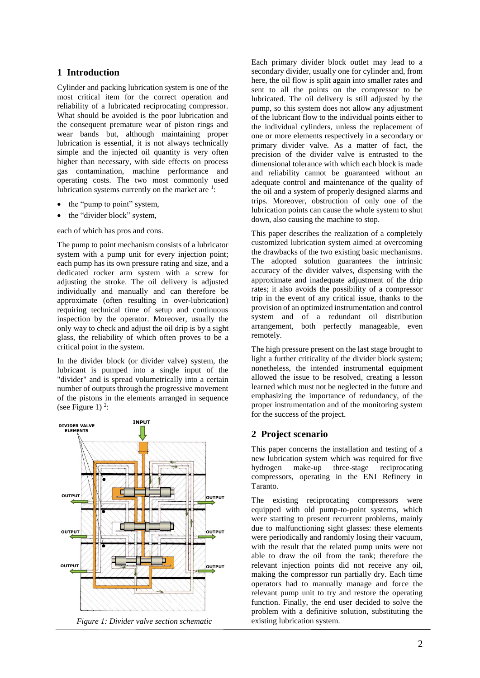#### **1 Introduction**

Cylinder and packing lubrication system is one of the most critical item for the correct operation and reliability of a lubricated reciprocating compressor. What should be avoided is the poor lubrication and the consequent premature wear of piston rings and wear bands but, although maintaining proper lubrication is essential, it is not always technically simple and the injected oil quantity is very often higher than necessary, with side effects on process gas contamination, machine performance and operating costs. The two most commonly used lubrication systems currently on the market are  $\frac{1}{1}$ :

- the "pump to point" system,
- the "divider block" system,

each of which has pros and cons.

The pump to point mechanism consists of a lubricator system with a pump unit for every injection point; each pump has its own pressure rating and size, and a dedicated rocker arm system with a screw for adjusting the stroke. The oil delivery is adjusted individually and manually and can therefore be approximate (often resulting in over-lubrication) requiring technical time of setup and continuous inspection by the operator. Moreover, usually the only way to check and adjust the oil drip is by a sight glass, the reliability of which often proves to be a critical point in the system.

In the divider block (or divider valve) system, the lubricant is pumped into a single input of the "divider" and is spread volumetrically into a certain number of outputs through the progressive movement of the pistons in the elements arranged in sequence (see Figure 1)  $2$ :



*Figure 1: Divider valve section schematic*

Each primary divider block outlet may lead to a secondary divider, usually one for cylinder and, from here, the oil flow is split again into smaller rates and sent to all the points on the compressor to be lubricated. The oil delivery is still adjusted by the pump, so this system does not allow any adjustment of the lubricant flow to the individual points either to the individual cylinders, unless the replacement of one or more elements respectively in a secondary or primary divider valve. As a matter of fact, the precision of the divider valve is entrusted to the dimensional tolerance with which each block is made and reliability cannot be guaranteed without an adequate control and maintenance of the quality of the oil and a system of properly designed alarms and trips. Moreover, obstruction of only one of the lubrication points can cause the whole system to shut down, also causing the machine to stop.

This paper describes the realization of a completely customized lubrication system aimed at overcoming the drawbacks of the two existing basic mechanisms. The adopted solution guarantees the intrinsic accuracy of the divider valves, dispensing with the approximate and inadequate adjustment of the drip rates; it also avoids the possibility of a compressor trip in the event of any critical issue, thanks to the provision of an optimized instrumentation and control system and of a redundant oil distribution arrangement, both perfectly manageable, even remotely.

The high pressure present on the last stage brought to light a further criticality of the divider block system; nonetheless, the intended instrumental equipment allowed the issue to be resolved, creating a lesson learned which must not be neglected in the future and emphasizing the importance of redundancy, of the proper instrumentation and of the monitoring system for the success of the project.

#### **2 Project scenario**

This paper concerns the installation and testing of a new lubrication system which was required for five hydrogen make-up three-stage reciprocating compressors, operating in the ENI Refinery in Taranto.

The existing reciprocating compressors were equipped with old pump-to-point systems, which were starting to present recurrent problems, mainly due to malfunctioning sight glasses: these elements were periodically and randomly losing their vacuum, with the result that the related pump units were not able to draw the oil from the tank; therefore the relevant injection points did not receive any oil, making the compressor run partially dry. Each time operators had to manually manage and force the relevant pump unit to try and restore the operating function. Finally, the end user decided to solve the problem with a definitive solution, substituting the existing lubrication system.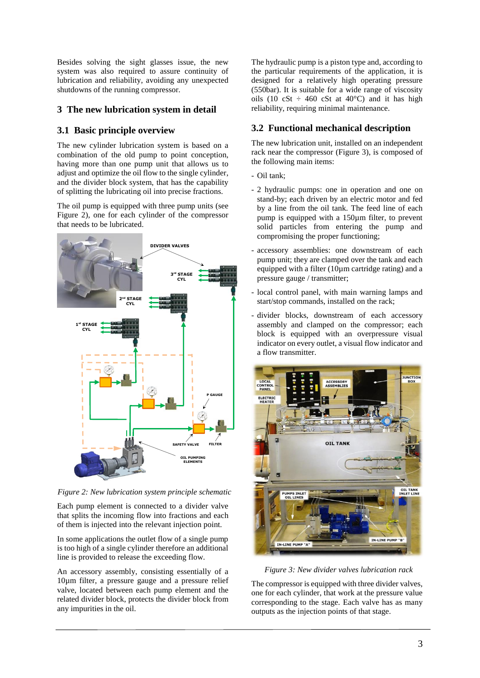Besides solving the sight glasses issue, the new system was also required to assure continuity of lubrication and reliability, avoiding any unexpected shutdowns of the running compressor.

#### **3 The new lubrication system in detail**

#### **3.1 Basic principle overview**

The new cylinder lubrication system is based on a combination of the old pump to point conception, having more than one pump unit that allows us to adjust and optimize the oil flow to the single cylinder, and the divider block system, that has the capability of splitting the lubricating oil into precise fractions.

The oil pump is equipped with three pump units (see Figure 2), one for each cylinder of the compressor that needs to be lubricated.



*Figure 2: New lubrication system principle schematic*

Each pump element is connected to a divider valve that splits the incoming flow into fractions and each of them is injected into the relevant injection point.

In some applications the outlet flow of a single pump is too high of a single cylinder therefore an additional line is provided to release the exceeding flow.

An accessory assembly, consisting essentially of a 10µm filter, a pressure gauge and a pressure relief valve, located between each pump element and the related divider block, protects the divider block from any impurities in the oil.

The hydraulic pump is a piston type and, according to the particular requirements of the application, it is designed for a relatively high operating pressure (550bar). It is suitable for a wide range of viscosity oils (10 cSt  $\div$  460 cSt at 40°C) and it has high reliability, requiring minimal maintenance.

## **3.2 Functional mechanical description**

The new lubrication unit, installed on an independent rack near the compressor (Figure 3), is composed of the following main items:

- Oil tank;
- 2 hydraulic pumps: one in operation and one on stand-by; each driven by an electric motor and fed by a line from the oil tank. The feed line of each pump is equipped with a  $150\mu$ m filter, to prevent solid particles from entering the pump and compromising the proper functioning;
- accessory assemblies: one downstream of each pump unit; they are clamped over the tank and each equipped with a filter  $(10\mu m \text{ cartridge rating})$  and a pressure gauge / transmitter;
- local control panel, with main warning lamps and start/stop commands, installed on the rack;
- divider blocks, downstream of each accessory assembly and clamped on the compressor; each block is equipped with an overpressure visual indicator on every outlet, a visual flow indicator and a flow transmitter.



*Figure 3: New divider valves lubrication rack*

The compressor is equipped with three divider valves, one for each cylinder, that work at the pressure value corresponding to the stage. Each valve has as many outputs as the injection points of that stage.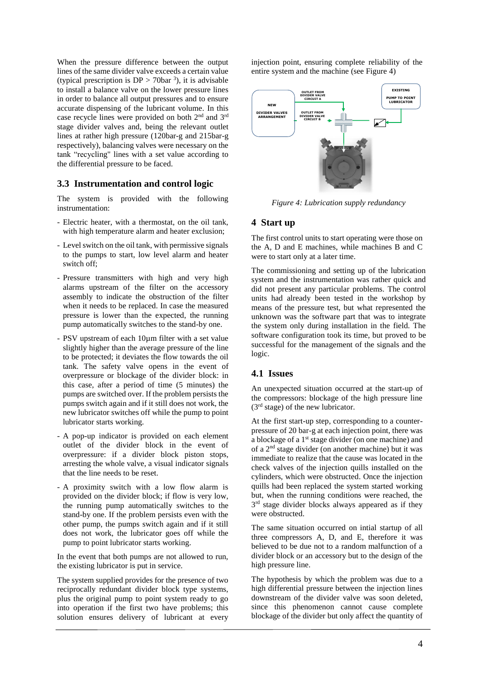When the pressure difference between the output lines of the same divider valve exceeds a certain value (typical prescription is  $DP > 70$ bar <sup>3</sup>), it is advisable to install a balance valve on the lower pressure lines in order to balance all output pressures and to ensure accurate dispensing of the lubricant volume. In this case recycle lines were provided on both 2nd and 3rd stage divider valves and, being the relevant outlet lines at rather high pressure (120bar-g and 215bar-g respectively), balancing valves were necessary on the tank "recycling" lines with a set value according to the differential pressure to be faced.

#### **3.3 Instrumentation and control logic**

The system is provided with the following instrumentation:

- Electric heater, with a thermostat, on the oil tank, with high temperature alarm and heater exclusion;
- Level switch on the oil tank, with permissive signals to the pumps to start, low level alarm and heater switch off;
- Pressure transmitters with high and very high alarms upstream of the filter on the accessory assembly to indicate the obstruction of the filter when it needs to be replaced. In case the measured pressure is lower than the expected, the running pump automatically switches to the stand-by one.
- PSV upstream of each 10µm filter with a set value slightly higher than the average pressure of the line to be protected; it deviates the flow towards the oil tank. The safety valve opens in the event of overpressure or blockage of the divider block: in this case, after a period of time (5 minutes) the pumps are switched over. If the problem persists the pumps switch again and if it still does not work, the new lubricator switches off while the pump to point lubricator starts working.
- A pop-up indicator is provided on each element outlet of the divider block in the event of overpressure: if a divider block piston stops, arresting the whole valve, a visual indicator signals that the line needs to be reset.
- A proximity switch with a low flow alarm is provided on the divider block; if flow is very low, the running pump automatically switches to the stand-by one. If the problem persists even with the other pump, the pumps switch again and if it still does not work, the lubricator goes off while the pump to point lubricator starts working.

In the event that both pumps are not allowed to run, the existing lubricator is put in service.

The system supplied provides for the presence of two reciprocally redundant divider block type systems, plus the original pump to point system ready to go into operation if the first two have problems; this solution ensures delivery of lubricant at every

injection point, ensuring complete reliability of the entire system and the machine (see Figure 4)



*Figure 4: Lubrication supply redundancy*

#### **4 Start up**

The first control units to start operating were those on the A, D and E machines, while machines B and C were to start only at a later time.

The commissioning and setting up of the lubrication system and the instrumentation was rather quick and did not present any particular problems. The control units had already been tested in the workshop by means of the pressure test, but what represented the unknown was the software part that was to integrate the system only during installation in the field. The software configuration took its time, but proved to be successful for the management of the signals and the logic.

#### **4.1 Issues**

An unexpected situation occurred at the start-up of the compressors: blockage of the high pressure line  $(3<sup>rd</sup> stage)$  of the new lubricator.

At the first start-up step, corresponding to a counterpressure of 20 bar-g at each injection point, there was a blockage of a  $1<sup>st</sup>$  stage divider (on one machine) and of a 2 nd stage divider (on another machine) but it was immediate to realize that the cause was located in the check valves of the injection quills installed on the cylinders, which were obstructed. Once the injection quills had been replaced the system started working but, when the running conditions were reached, the 3<sup>rd</sup> stage divider blocks always appeared as if they were obstructed.

The same situation occurred on intial startup of all three compressors A, D, and E, therefore it was believed to be due not to a random malfunction of a divider block or an accessory but to the design of the high pressure line.

The hypothesis by which the problem was due to a high differential pressure between the injection lines downstream of the divider valve was soon deleted, since this phenomenon cannot cause complete blockage of the divider but only affect the quantity of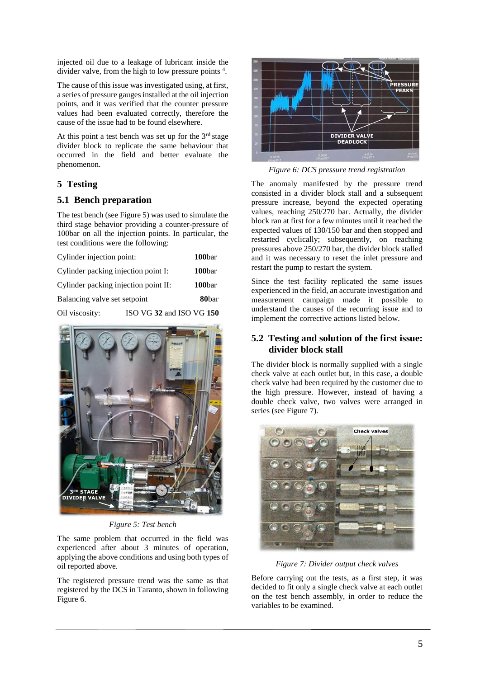injected oil due to a leakage of lubricant inside the divider valve, from the high to low pressure points <sup>4</sup>.

The cause of this issue was investigated using, at first, a series of pressure gaugesinstalled at the oil injection points, and it was verified that the counter pressure values had been evaluated correctly, therefore the cause of the issue had to be found elsewhere.

At this point a test bench was set up for the  $3<sup>rd</sup>$  stage divider block to replicate the same behaviour that occurred in the field and better evaluate the phenomenon.

#### **5 Testing**

#### **5.1 Bench preparation**

The test bench (see Figure 5) was used to simulate the third stage behavior providing a counter-pressure of 100bar on all the injection points. In particular, the test conditions were the following:

| Cylinder injection point:            |                          | 100bar            |
|--------------------------------------|--------------------------|-------------------|
| Cylinder packing injection point I:  |                          | 100bar            |
| Cylinder packing injection point II: |                          | 100bar            |
| Balancing valve set setpoint         |                          | 80 <sub>bar</sub> |
| Oil viscosity:                       | ISO VG 32 and ISO VG 150 |                   |



*Figure 5: Test bench*

The same problem that occurred in the field was experienced after about 3 minutes of operation, applying the above conditions and using both types of oil reported above.

The registered pressure trend was the same as that registered by the DCS in Taranto, shown in following Figure 6.



*Figure 6: DCS pressure trend registration*

The anomaly manifested by the pressure trend consisted in a divider block stall and a subsequent pressure increase, beyond the expected operating values, reaching 250/270 bar. Actually, the divider block ran at first for a few minutes until it reached the expected values of 130/150 bar and then stopped and restarted cyclically; subsequently, on reaching pressures above 250/270 bar, the divider block stalled and it was necessary to reset the inlet pressure and restart the pump to restart the system.

Since the test facility replicated the same issues experienced in the field, an accurate investigation and measurement campaign made it possible to understand the causes of the recurring issue and to implement the corrective actions listed below.

#### **5.2 Testing and solution of the first issue: divider block stall**

The divider block is normally supplied with a single check valve at each outlet but, in this case, a double check valve had been required by the customer due to the high pressure. However, instead of having a double check valve, two valves were arranged in series (see Figure 7).



*Figure 7: Divider output check valves*

Before carrying out the tests, as a first step, it was decided to fit only a single check valve at each outlet on the test bench assembly, in order to reduce the variables to be examined.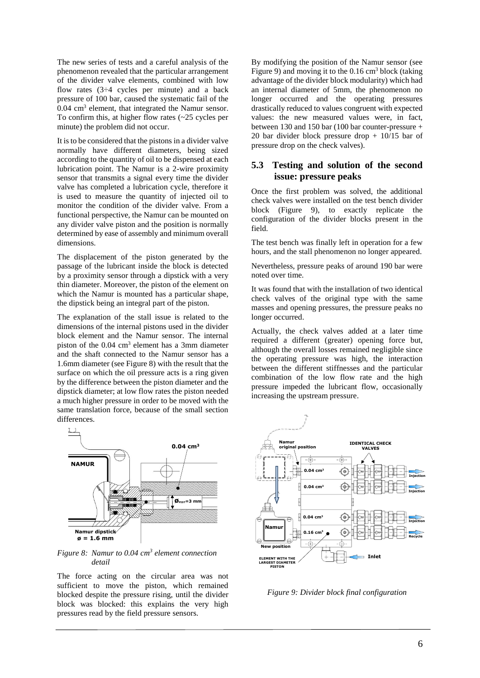The new series of tests and a careful analysis of the phenomenon revealed that the particular arrangement of the divider valve elements, combined with low flow rates  $(3\div 4$  cycles per minute) and a back pressure of 100 bar, caused the systematic fail of the  $0.04$  cm<sup>3</sup> element, that integrated the Namur sensor. To confirm this, at higher flow rates  $(\sim 25$  cycles per minute) the problem did not occur.

It is to be considered that the pistons in a divider valve normally have different diameters, being sized according to the quantity of oil to be dispensed at each lubrication point. The Namur is a 2-wire proximity sensor that transmits a signal every time the divider valve has completed a lubrication cycle, therefore it is used to measure the quantity of injected oil to monitor the condition of the divider valve. From a functional perspective, the Namur can be mounted on any divider valve piston and the position is normally determined by ease of assembly and minimum overall dimensions.

The displacement of the piston generated by the passage of the lubricant inside the block is detected by a proximity sensor through a dipstick with a very thin diameter. Moreover, the piston of the element on which the Namur is mounted has a particular shape, the dipstick being an integral part of the piston.

The explanation of the stall issue is related to the dimensions of the internal pistons used in the divider block element and the Namur sensor. The internal piston of the 0.04 cm<sup>3</sup> element has a 3mm diameter and the shaft connected to the Namur sensor has a 1.6mm diameter (see Figure 8) with the result that the surface on which the oil pressure acts is a ring given by the difference between the piston diameter and the dipstick diameter; at low flow rates the piston needed a much higher pressure in order to be moved with the same translation force, because of the small section differences.



*Figure 8: Namur to 0.04 cm<sup>3</sup> element connection detail*

The force acting on the circular area was not sufficient to move the piston, which remained blocked despite the pressure rising, until the divider block was blocked: this explains the very high pressures read by the field pressure sensors.

By modifying the position of the Namur sensor (see Figure 9) and moving it to the  $0.16 \text{ cm}^3$  block (taking advantage of the divider block modularity) which had an internal diameter of 5mm, the phenomenon no longer occurred and the operating pressures drastically reduced to values congruent with expected values: the new measured values were, in fact, between 130 and 150 bar (100 bar counter-pressure + 20 bar divider block pressure drop + 10/15 bar of pressure drop on the check valves).

#### **5.3 Testing and solution of the second issue: pressure peaks**

Once the first problem was solved, the additional check valves were installed on the test bench divider block (Figure 9), to exactly replicate the configuration of the divider blocks present in the field.

The test bench was finally left in operation for a few hours, and the stall phenomenon no longer appeared.

Nevertheless, pressure peaks of around 190 bar were noted over time.

It was found that with the installation of two identical check valves of the original type with the same masses and opening pressures, the pressure peaks no longer occurred.

Actually, the check valves added at a later time required a different (greater) opening force but, although the overall losses remained negligible since the operating pressure was high, the interaction between the different stiffnesses and the particular combination of the low flow rate and the high pressure impeded the lubricant flow, occasionally increasing the upstream pressure.



*Figure 9: Divider block final configuration*